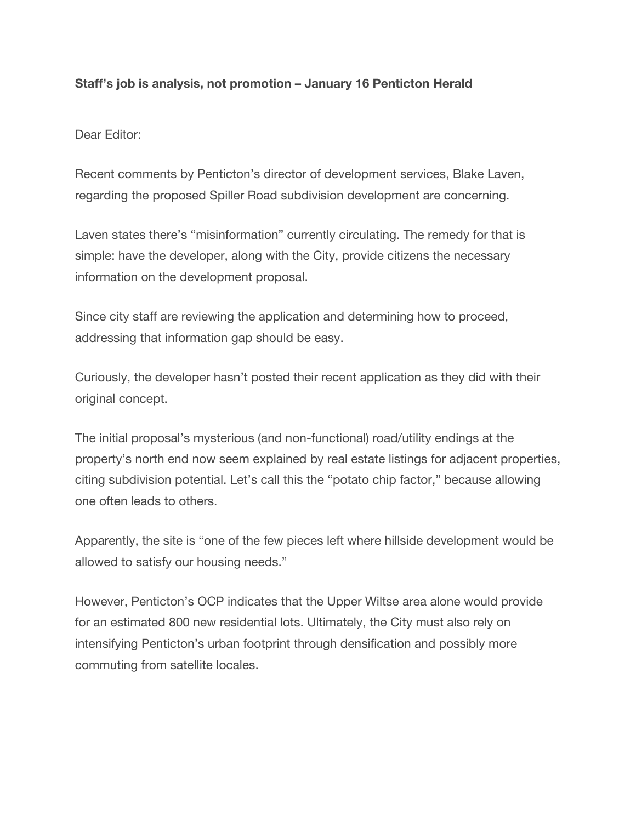## **Staff's job is analysis, not promotion – January 16 Penticton Herald**

Dear Editor:

Recent comments by Penticton's director of development services, Blake Laven, regarding the proposed Spiller Road subdivision development are concerning.

Laven states there's "misinformation" currently circulating. The remedy for that is simple: have the developer, along with the City, provide citizens the necessary information on the development proposal.

Since city staff are reviewing the application and determining how to proceed, addressing that information gap should be easy.

Curiously, the developer hasn't posted their recent application as they did with their original concept.

The initial proposal's mysterious (and non-functional) road/utility endings at the property's north end now seem explained by real estate listings for adjacent properties, citing subdivision potential. Let's call this the "potato chip factor," because allowing one often leads to others.

Apparently, the site is "one of the few pieces left where hillside development would be allowed to satisfy our housing needs."

However, Penticton's OCP indicates that the Upper Wiltse area alone would provide for an estimated 800 new residential lots. Ultimately, the City must also rely on intensifying Penticton's urban footprint through densification and possibly more commuting from satellite locales.